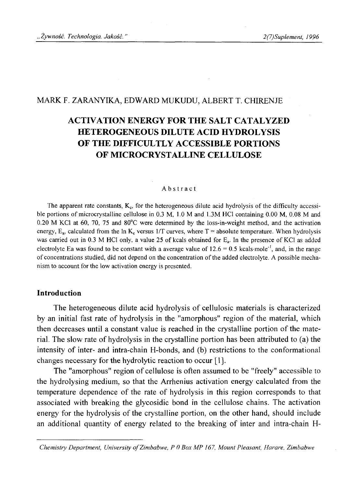# MARK F. ZARANYIKA, EDWARD MUKUDU, ALBERT T. CHIRENJE

# **ACTIVATION ENERGY FOR THE SALT CATALYZED HETEROGENEOUS DILUTE ACID HYDROLYSIS OF THE DIFFICULTLY ACCESSIBLE PORTIONS OF MICROCRYSTALLINE CELLULOSE**

#### Abstract

The apparent rate constants,  $K_c$ , for the heterogeneous dilute acid hydrolysis of the difficulty accessible portions of microcrystalline cellulose in  $0.3 \text{ M}$ ,  $1.0 \text{ M}$  and  $1.3 \text{ M}$  HCl containing  $0.00 \text{ M}$ ,  $0.08 \text{ M}$  and 0.20 M KC1 at 60, 70, 75 and 80°C were determined by the loss-in-weight method, and the activation energy,  $E_a$ , calculated from the In K<sub>c</sub> versus 1/T curves, where T = absolute temperature. When hydrolysis was carried out in 0.3 M HCl only, a value 25 of keals obtained for  $E_a$ . In the presence of KCl as added electrolyte Ea was found to be constant with a average value of  $12.6 = 0.5$  kcals mole<sup>-1</sup>, and, in the range of concentrations studied, did not depend on the concentration of the added electrolyte. A possible mechanism to account for the low activation energy is presented.

## **Introduction**

The heterogeneous dilute acid hydrolysis of cellulosic materials is characterized by an initial fast rate of hydrolysis in the "amorphous" region of the material, which then decreases until a constant value is reached in the crystalline portion of the material. The slow rate of hydrolysis in the crystalline portion has been attributed to (a) the intensity of inter- and intra-chain H-bonds, and (b) restrictions to the conformational changes necessary for the hydrolytic reaction to occur [1],

The "amorphous" region of cellulose is often assumed to be "freely" accessible to the hydrolysing medium, so that the Arrhenius activation energy calculated from the temperature dependence of the rate of hydrolysis in this region corresponds to that associated with breaking the glycosidic bond in the cellulose chains. The activation energy for the hydrolysis of the crystalline portion, on the other hand, should include an additional quantity of energy related to the breaking of inter and intra-chain H-

*Chemistry Department, University o f Zimbabwe, P 0 Box MP 167, Mount Pleasant, Harare, Zimbabwe*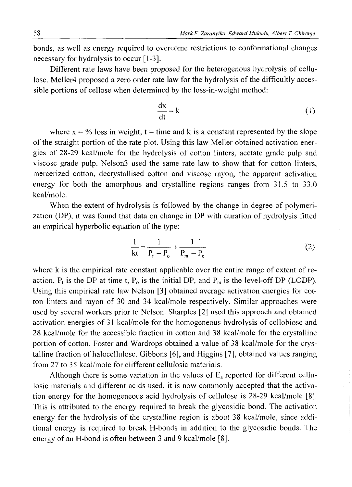bonds, as well as energy required to overcome restrictions to conformational changes necessary for hydrolysis to occur [1-3].

Different rate laws have been proposed for the heterogenous hydrolysis of cellulose. Meller4 proposed a zero order rate law for the hydrolysis of the difficultly accessible portions of cellose when determined by the loss-in-weight method:

$$
\frac{dx}{dt} = k \tag{1}
$$

where  $x = \frac{6}{9}$  loss in weight, t = time and k is a constant represented by the slope of the straight portion of the rate plot. Using this law Meller obtained activation energies of 28-29 kcal/mole for the hydrolysis of cotton linters, acetate grade pulp and viscose grade pulp. Nelson3 used the same rate law to show that for cotton linters, mercerized cotton, decrystallised cotton and viscose rayon, the apparent activation energy for both the amorphous and crystalline regions ranges from 31.5 to 33.0 kcal/mole.

When the extent of hydrolysis is followed by the change in degree of polymerization (DP), it was found that data on change in DP with duration of hydrolysis fitted an empirical hyperbolic equation of the type:

$$
\frac{1}{kt} = \frac{1}{P_t - P_o} + \frac{1}{P_m - P_o}
$$
 (2)

where k is the empirical rate constant applicable over the entire range of extent of reaction,  $P_t$  is the DP at time t,  $P_0$  is the initial DP, and  $P_m$  is the level-off DP (LODP). Using this empirical rate law Nelson [3] obtained average activation energies for cotton linters and rayon of 30 and 34 kcal/mole respectively. Similar approaches were used by several workers prior to Nelson. Sharpies [2] used this approach and obtained activation energies of 31 kcal/mole for the homogeneous hydrolysis of cellobiose and 28 kcal/mole for the accessible fraction in cotton and 38 kcal/mole for the crystalline portion of cotton. Foster and Wardrops obtained a value of 38 kcal/mole for the crystalline fraction of halocellulose. Gibbons [6], and Higgins [7], obtained values ranging from 27 to 35 kcal/mole for different cellulosic materials.

Although there is some variation in the values of  $E_a$  reported for different cellulosic materials and different acids used, it is now commonly accepted that the activation energy for the homogeneous acid hydrolysis of cellulose is 28-29 kcal/mole [8], This is attributed to the energy required to break the glycosidic bond. The activation energy for the hydrolysis of the crystalline region is about 38 kcal/mole, since additional energy is required to break H-bonds in addition to the glycosidic bonds. The energy of an H-bond is often between 3 and 9 kcal/mole [8].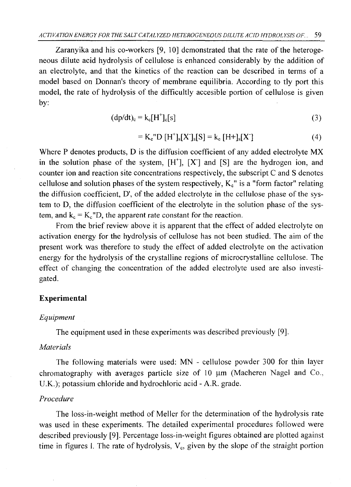Zaranyika and his co-workers [9, 10] demonstrated that the rate of the heterogeneous dilute acid hydrolysis of cellulose is enhanced considerably by the addition of an electrolyte, and that the kinetics of the reaction can be described in terms of a model based on Donnan's theory of membrane equilibria. According to tly port this model, the rate of hydrolysis of the difficultly accesible portion of cellulose is given by:

$$
(\mathrm{dp}/\mathrm{dt})_{c} = k_{c}[H^{+}]_{c}[s]
$$
 (3)

$$
= K_c "D [H^+]_s [X^-]_s [S] = k_c [H^+]_s [X]
$$
 (4)

Where P denotes products, D is the diffusion coefficient of any added electrolyte MX in the solution phase of the system,  $[H^{\dagger}]$ ,  $[X^{\dagger}]$  and  $[S]$  are the hydrogen ion, and counter ion and reaction site concentrations respectively, the subscript C and S denotes cellulose and solution phases of the system respectively,  $K_c$ " is a "form factor" relating the diffusion coefficient, D', of the added electrolyte in the cellulose phase of the system to D, the diffusion coefficient of the electrolyte in the solution phase of the system, and  $k_c = K_c"D$ , the apparent rate constant for the reaction.

From the brief review above it is apparent that the effect of added electrolyte on activation energy for the hydrolysis of cellulose has not been studied. The aim of the present work was therefore to study the effect of added electrolyte on the activation energy for the hydrolysis of the crystalline regions of microcrystalline cellulose. The effect of changing the concentration of the added electrolyte used are also investigated.

# **Experimental**

## *Equipment*

The equipment used in these experiments was described previously [9],

## *Materials*

The following materials were used: MN - cellulose powder 300 for thin layer chromatography with averages particle size of  $10 \mu m$ . (Macheren Nagel and Co., U.K.); potassium chloride and hydrochloric acid - A.R. grade.

## *Procedure*

The loss-in-weight method of Meller for the determination of the hydrolysis rate was used in these experiments. The detailed experimental procedures followed were described previously [9]. Percentage loss-in-weight figures obtained are plotted against time in figures I. The rate of hydrolysis,  $V_c$ , given by the slope of the straight portion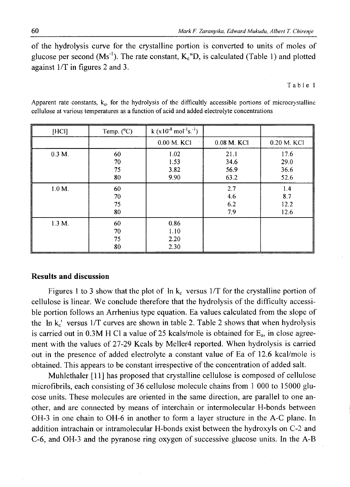of the hydrolysis curve for the crystalline portion is converted to units of moles of glucose per second  $(Ms^{-1})$ . The rate constant,  $K_c''D$ , is calculated (Table 1) and plotted against 1/T in figures 2 and 3.

Table 1

| [HCI]     | Temp. $(^{\circ}C)$  | $k (x10^{-8} \text{ mol}^{-1} \text{s}^{-1})$ |                              |                              |
|-----------|----------------------|-----------------------------------------------|------------------------------|------------------------------|
|           |                      | 0.00 M. KCI                                   | 0.08 M. KCI                  | 0.20 M. KCI                  |
| $0.3 M$ . | 60<br>70<br>75<br>80 | 1.02<br>1.53<br>3.82<br>9.90                  | 21.1<br>34.6<br>56.9<br>63.2 | 17.6<br>29.0<br>36.6<br>52.6 |
| $1.0 M$ . | 60<br>70<br>75<br>80 |                                               | 2.7<br>4.6<br>6.2<br>7.9     | 1.4<br>8.7<br>12.2<br>12.6   |
| 1.3 M.    | 60<br>70<br>75<br>80 | 0.86<br>1.10<br>2.20<br>2.30                  |                              |                              |

Apparent rate constants,  $k_c$ , for the hydrolysis of the difficultly accessible portions of microcrystalline cellulose at various temperatures as a function of acid and added electrolyte concentrations

## **Results and discussion**

Figures 1 to 3 show that the plot of  $\ln k_c$  versus 1/T for the crystalline portion of cellulose is linear. We conclude therefore that the hydrolysis of the difficulty accessible portion follows an Arrhenius type equation. Ea values calculated from the slope of the  $\ln k_c$  versus 1/T curves are shown in table 2. Table 2 shows that when hydrolysis is carried out in  $0.3M$  H Cl a value of 25 kcals/mole is obtained for  $E_a$ , in close agreement with the values of 27-29 Kcals by Meller4 reported. When hydrolysis is carried out in the presence of added electrolyte a constant value of Ea of 12.6 kcal/mole is obtained. This appears to be constant irrespective of the concentration of added salt.

Muhlethaler [11] has proposed that crystalline cellulose is composed of cellulose microfibrils, each consisting of 36 cellulose molecule chains from 1 000 to 15000 glucose units. These molecules are oriented in the same direction, are parallel to one another, and are connected by means of interchain or intermolecular H-bonds between OH-3 in one chain to OH-6 in another to form a layer structure in the A-C plane. In addition intrachain or intramolecular H-bonds exist between the hydroxyls on C-2 and C-6, and OH-3 and the pyranose ring oxygen of successive glucose units. In the A-B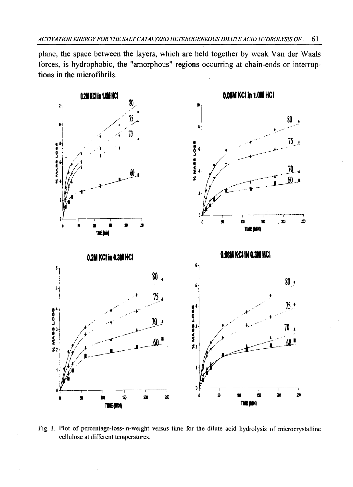**plane, the space between the layers, which are held together by weak Van der Waals forces, is hydrophobic, the "amorphous" regions occurring at chain-ends or interruptions in the microfibrils.**



Fig. 1. Plot of percentage-loss-in-weight versus time for the dilute acid hydrolysis of microcrystalline cellulose at different temperatures.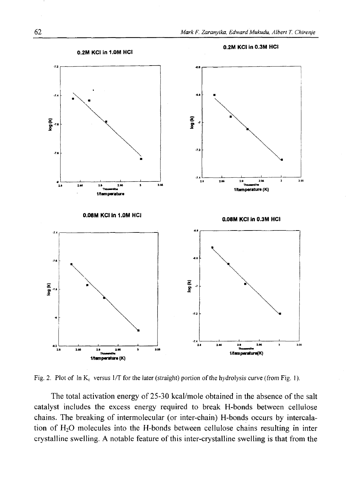

Fig. 2. Plot of  $\ln K_c$  versus 1/T for the later (straight) portion of the hydrolysis curve (from Fig. 1).

The total activation energy of 25-30 kcal/mole obtained in the absence of the salt catalyst includes the excess energy required to break H-bonds between cellulose chains. The breaking of intermolecular (or inter-chain) H-bonds occurs by intercalation of  $H_2O$  molecules into the H-bonds between cellulose chains resulting in inter crystalline swelling. A notable feature of this inter-crystalline swelling is that from the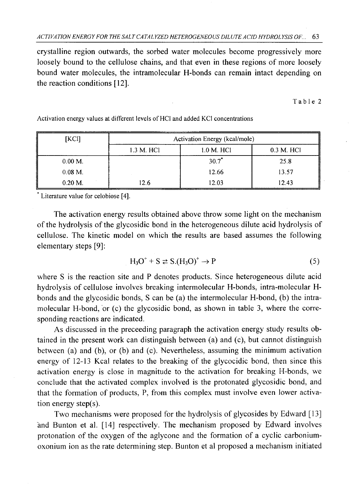crystalline region outwards, the sorbed water molecules become progressively more loosely bound to the cellulose chains, and that even in these regions of more loosely bound water molecules, the intramolecular H-bonds can remain intact depending on the reaction conditions [12].

Table 2

| [KCI]      | Activation Energy (kcal/mole) |            |            |
|------------|-------------------------------|------------|------------|
|            | 1.3 M. HCl                    | 1.0 M. HCl | 0.3 M. HCI |
| $0.00 M$ . |                               | $30.7*$    | 25.8       |
| $0.08$ M.  |                               | 12.66      | 13.57      |
| $0.20$ M.  | 12.6                          | 12.03      | 12.43      |

Activation energy values at different levels of HCl and added KCl concentrations

\* Literature value for celobiose [4].

The activation energy results obtained above throw some light on the mechanism of the hydrolysis of the glycosidic bond in the heterogeneous dilute acid hydrolysis of cellulose. The kinetic model on which the results are based assumes the following elementary steps [9]:

$$
H_3O^+ + S \ncong S.(H_3O)^+ \rightarrow P \tag{5}
$$

where S is the reaction site and P denotes products. Since heterogeneous dilute acid hydrolysis of cellulose involves breaking intermolecular H-bonds, intra-molecular Hbonds and the glycosidic bonds, S can be (a) the intermolecular H-bond, (b) the intramolecular H-bond, or (c) the glycosidic bond, as shown in table 3, where the corresponding reactions are indicated.

As discussed in the preceeding paragraph the activation energy study results obtained in the present work can distinguish between (a) and (c), but cannot distinguish between (a) and (b), or (b) and (c). Nevertheless, assuming the minimum activation energy of 12-13 Kcal relates to the breaking of the glycocidic bond, then since this activation energy is close in magnitude to the activation for breaking H-bonds, we conclude that the activated complex involved is the protonated glycosidic bond, and that the formation of products, P, from this complex must involve even lower activation energy step(s).

Two mechanisms were proposed for the hydrolysis of glycosides by Edward [13] and Bunton et al. [14] respectively. The mechanism proposed by Edward involves protonation of the oxygen of the aglycone and the formation of a cyclic carboniumoxonium ion as the rate determining step. Bunton et al proposed a mechanism initiated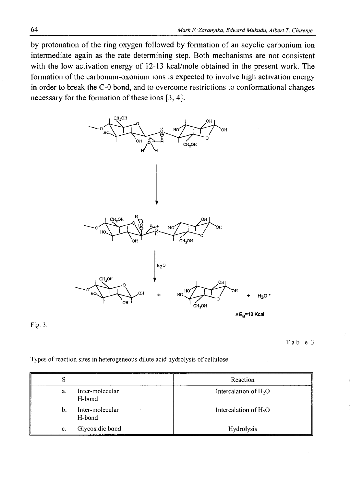by protonation of the ring oxygen followed by formation of an acyclic carbonium ion intermediate again as the rate determining step. Both mechanisms are not consistent with the low activation energy of 12-13 kcal/mole obtained in the present work. The formation of the carbonum-oxonium ions is expected to involve high activation energy in order to break the C-0 bond, and to overcome restrictions to conformational changes necessary for the formation of these ions [3, 4].



AEa=12 Kcal

Fig. 3.

Table 3

Types of reaction sites in heterogeneous dilute acid hydrolysis of cellulose

| S  |                           | Reaction                          |
|----|---------------------------|-----------------------------------|
| a. | Inter-molecular<br>H-bond | Intercalation of H <sub>2</sub> O |
| b. | Inter-molecular<br>H-bond | Intercalation of $H_2O$           |
| c. | Glycosidic bond           | Hydrolysis                        |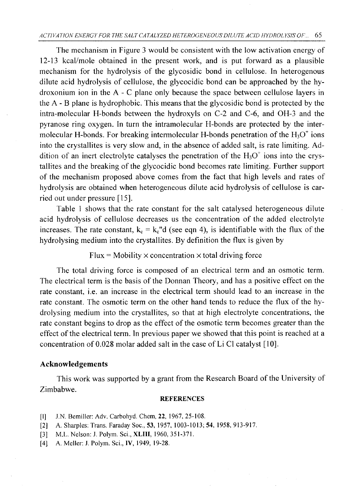The mechanism in Figure 3 would be consistent with the low activation energy of 12-13 kcal/mole obtained in the present work, and is put forward as a plausible mechanism for the hydrolysis of the glycosidic bond in cellulose. In heterogenous dilute acid hydrolysis of cellulose, the glycocidic bond can be approached by the hydroxonium ion in the A - C plane only because the space between cellulose layers in the A - B plane is hydrophobic. This means that the glycosidic bond is protected by the intra-molecuiar H-bonds between the hydroxyls on C-2 and C-6, and OH-3 and the pyranose ring oxygen. In turn the intramolecular H-bonds are protected by the intermolecular H-bonds. For breaking intermolecular H-bonds penetration of the  $H_3O^+$  ions into the crystallites is very slow and, in the absence of added salt, is rate limiting. Addition of an inert electrolyte catalyses the penetration of the  $H_3O^+$  ions into the crystallites and the breaking of the glycocidic bond becomes rate limiting. Further support of the mechanism proposed above comes from the fact that high levels and rates of hydrolysis are obtained when heterogeneous dilute acid hydrolysis of cellulose is carried out under pressure [15].

Table 1 shows that the rate constant for the salt catalysed heterogeneous dilute acid hydrolysis of cellulose decreases us the concentration of the added electrolyte increases. The rate constant,  $k_c = k_c$ "d (see eqn 4), is identifiable with the flux of the hydrolysing medium into the crystallites. By definition the flux is given by

 $Flux = Mobility \times concentration \times total driving force$ 

The total driving force is composed of an electrical term and an osmotic term. The electrical term is the basis of the Donnan Theory, and has a positive effect on the rate constant, i.e. an increase in the electrical term should lead to an increase in the rate constant. The osmotic term on the other hand tends to reduce the flux of the hydrolysing medium into the crystallites, so that at high electrolyte concentrations, the rate constant begins to drop as the effect of the osmotic term becomes greater than the effect of the electrical term. In previous paper we showed that this point is reached at a concentration of 0.028 molar added salt in the case of Li Cl catalyst [10].

## **Acknowledgements**

This work was supported by a grant from the Research Board of the University of Zimbabwe.

#### **REFERENCES**

- [1] J.N. Bemiller: Adv. Carbohyd. Chem, 22, 1967, 25-108.
- [2] A. Sharpies: Trans. Faraday Soc., 53, 1957, 1003-1013; 54, 1958, 913-917.
- [3] M.L. Nelson: J. Polym. Sci., **XLIII,** 1960, 351-371.
- [4] A. Meller: J. Polym. Sci., **IV,** 1949, 19-28.